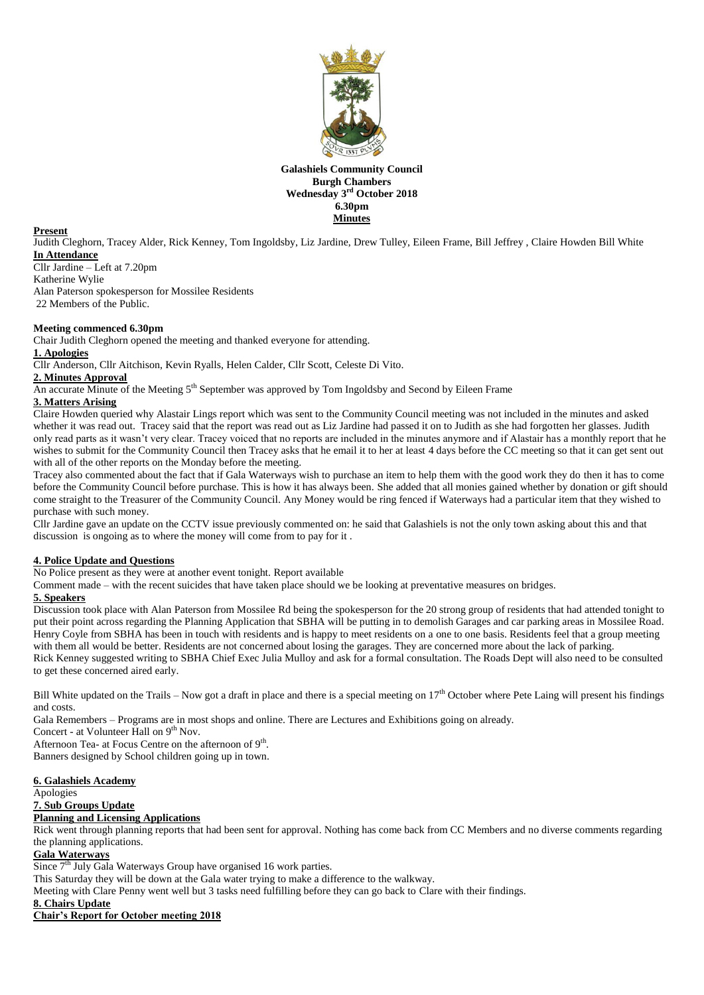

**Galashiels Community Council Burgh Chambers Wednesday 3 rd October 2018 6.30pm Minutes**

#### **Present**

Judith Cleghorn, Tracey Alder, Rick Kenney, Tom Ingoldsby, Liz Jardine, Drew Tulley, Eileen Frame, Bill Jeffrey , Claire Howden Bill White **In Attendance**

Cllr Jardine – Left at 7.20pm Katherine Wylie Alan Paterson spokesperson for Mossilee Residents 22 Members of the Public.

#### **Meeting commenced 6.30pm**

Chair Judith Cleghorn opened the meeting and thanked everyone for attending.

#### **1. Apologies**

Cllr Anderson, Cllr Aitchison, Kevin Ryalls, Helen Calder, Cllr Scott, Celeste Di Vito.

#### **2. Minutes Approval**

An accurate Minute of the Meeting 5<sup>th</sup> September was approved by Tom Ingoldsby and Second by Eileen Frame

## **3. Matters Arising**

Claire Howden queried why Alastair Lings report which was sent to the Community Council meeting was not included in the minutes and asked whether it was read out. Tracey said that the report was read out as Liz Jardine had passed it on to Judith as she had forgotten her glasses. Judith only read parts as it wasn't very clear. Tracey voiced that no reports are included in the minutes anymore and if Alastair has a monthly report that he wishes to submit for the Community Council then Tracey asks that he email it to her at least 4 days before the CC meeting so that it can get sent out with all of the other reports on the Monday before the meeting.

Tracey also commented about the fact that if Gala Waterways wish to purchase an item to help them with the good work they do then it has to come before the Community Council before purchase. This is how it has always been. She added that all monies gained whether by donation or gift should come straight to the Treasurer of the Community Council. Any Money would be ring fenced if Waterways had a particular item that they wished to purchase with such money.

Cllr Jardine gave an update on the CCTV issue previously commented on: he said that Galashiels is not the only town asking about this and that discussion is ongoing as to where the money will come from to pay for it .

#### **4. Police Update and Questions**

No Police present as they were at another event tonight. Report available

Comment made – with the recent suicides that have taken place should we be looking at preventative measures on bridges.

## **5. Speakers**

Discussion took place with Alan Paterson from Mossilee Rd being the spokesperson for the 20 strong group of residents that had attended tonight to put their point across regarding the Planning Application that SBHA will be putting in to demolish Garages and car parking areas in Mossilee Road. Henry Coyle from SBHA has been in touch with residents and is happy to meet residents on a one to one basis. Residents feel that a group meeting with them all would be better. Residents are not concerned about losing the garages. They are concerned more about the lack of parking. Rick Kenney suggested writing to SBHA Chief Exec Julia Mulloy and ask for a formal consultation. The Roads Dept will also need to be consulted to get these concerned aired early.

Bill White updated on the Trails – Now got a draft in place and there is a special meeting on  $17<sup>th</sup>$  October where Pete Laing will present his findings and costs.

Gala Remembers – Programs are in most shops and online. There are Lectures and Exhibitions going on already.

Concert - at Volunteer Hall on  $9<sup>th</sup>$  Nov.

Afternoon Tea- at Focus Centre on the afternoon of  $9<sup>th</sup>$ .

Banners designed by School children going up in town.

#### **6. Galashiels Academy**

Apologies

# **7. Sub Groups Update**

# **Planning and Licensing Applications**

Rick went through planning reports that had been sent for approval. Nothing has come back from CC Members and no diverse comments regarding the planning applications.

# **Gala Waterways**

Since  $7<sup>th</sup>$  July Gala Waterways Group have organised 16 work parties.

This Saturday they will be down at the Gala water trying to make a difference to the walkway.

Meeting with Clare Penny went well but 3 tasks need fulfilling before they can go back to Clare with their findings.

# **8. Chairs Update**

## **Chair's Report for October meeting 2018**